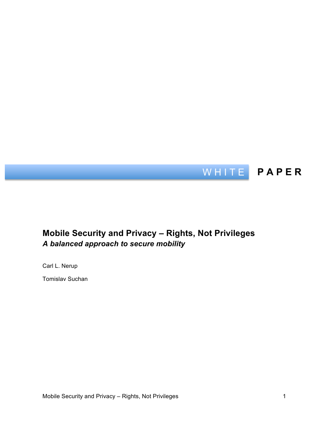

## **Mobile Security and Privacy – Rights, Not Privileges** *A balanced approach to secure mobility*

Carl L. Nerup

Tomislav Suchan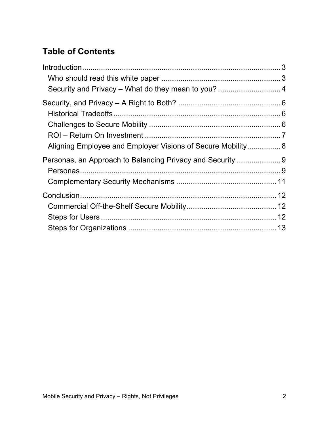# **Table of Contents**

| Aligning Employee and Employer Visions of Secure Mobility 8 |  |
|-------------------------------------------------------------|--|
|                                                             |  |
|                                                             |  |
|                                                             |  |
|                                                             |  |
|                                                             |  |
|                                                             |  |
|                                                             |  |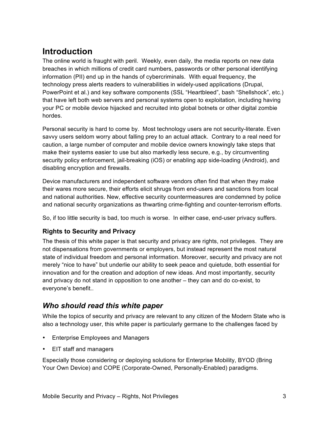# **Introduction**

The online world is fraught with peril. Weekly, even daily, the media reports on new data breaches in which millions of credit card numbers, passwords or other personal identifying information (PII) end up in the hands of cybercriminals. With equal frequency, the technology press alerts readers to vulnerabilities in widely-used applications (Drupal, PowerPoint et al.) and key software components (SSL "Heartbleed", bash "Shellshock", etc.) that have left both web servers and personal systems open to exploitation, including having your PC or mobile device hijacked and recruited into global botnets or other digital zombie hordes.

Personal security is hard to come by. Most technology users are not security-literate. Even savvy users seldom worry about falling prey to an actual attack. Contrary to a real need for caution, a large number of computer and mobile device owners knowingly take steps that make their systems easier to use but also markedly less secure, e.g., by circumventing security policy enforcement, jail-breaking (iOS) or enabling app side-loading (Android), and disabling encryption and firewalls.

Device manufacturers and independent software vendors often find that when they make their wares more secure, their efforts elicit shrugs from end-users and sanctions from local and national authorities. New, effective security countermeasures are condemned by police and national security organizations as thwarting crime-fighting and counter-terrorism efforts.

So, if too little security is bad, too much is worse. In either case, end-user privacy suffers.

### **Rights to Security and Privacy**

The thesis of this white paper is that security and privacy are rights, not privileges. They are not dispensations from governments or employers, but instead represent the most natural state of individual freedom and personal information. Moreover, security and privacy are not merely "nice to have" but underlie our ability to seek peace and quietude, both essential for innovation and for the creation and adoption of new ideas. And most importantly, security and privacy do not stand in opposition to one another – they can and do co-exist, to everyone's benefit..

## *Who should read this white paper*

While the topics of security and privacy are relevant to any citizen of the Modern State who is also a technology user, this white paper is particularly germane to the challenges faced by

- Enterprise Employees and Managers
- EIT staff and managers

Especially those considering or deploying solutions for Enterprise Mobility, BYOD (Bring Your Own Device) and COPE (Corporate-Owned, Personally-Enabled) paradigms.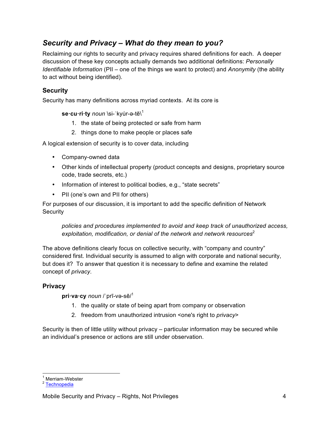## *Security and Privacy – What do they mean to you?*

Reclaiming our rights to security and privacy requires shared definitions for each. A deeper discussion of these key concepts actually demands two additional definitions: *Personally Identifiable Information* (PII – one of the things we want to protect) and *Anonymity* (the ability to act without being identified).

## **Security**

Security has many definitions across myriad contexts. At its core is

**se·cu·ri·ty** *noun* \si-ˈkyu̇ r-ə-tē\ 1

- 1. the state of being protected or safe from harm
- 2. things done to make people or places safe

A logical extension of security is to cover data, including

- Company-owned data
- Other kinds of intellectual property (product concepts and designs, proprietary source code, trade secrets, etc.)
- Information of interest to political bodies, e.g., "state secrets"
- PII (one's own and PII for others)

For purposes of our discussion, it is important to add the specific definition of Network **Security** 

*policies and procedures implemented to avoid and keep track of unauthorized access,*  exploitation, modification, or denial of the network and network resources<sup>2</sup>

The above definitions clearly focus on collective security, with "company and country" considered first. Individual security is assumed to align with corporate and national security, but does it? To answer that question it is necessary to define and examine the related concept of *privacy*.

### **Privacy**

**pri·va·cy** *noun* /ˈprī-və-sē/ 1

- 1. the quality or state of being apart from company or observation
- 2. freedom from unauthorized intrusion <one's right to *privacy*>

Security is then of little utility without privacy – particular information may be secured while an individual's presence or actions are still under observation.

<sup>1</sup> Merriam-Webster<br><sup>2</sup> Technopedia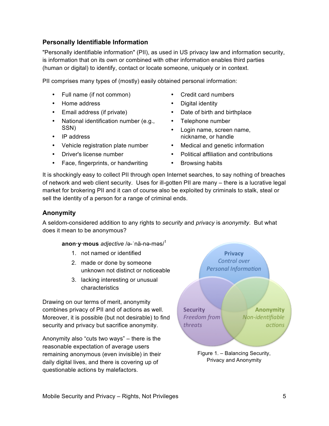### **Personally Identifiable Information**

"Personally identifiable information" (PII), as used in US privacy law and information security, is information that on its own or combined with other information enables third parties (human or digital) to identify, contact or locate someone, uniquely or in context.

PII comprises many types of (mostly) easily obtained personal information:

- Full name (if not common)
- Home address
- Email address (if private)
- National identification number (e.g., SSN)
- IP address
- Vehicle registration plate number
- Driver's license number
- Face, fingerprints, or handwriting
- Credit card numbers
- Digital identity
- Date of birth and birthplace
- Telephone number
- Login name, screen name, nickname, or handle
- Medical and genetic information
- Political affiliation and contributions
- Browsing habits

It is shockingly easy to collect PII through open Internet searches, to say nothing of breaches of network and web client security. Uses for ill-gotten PII are many – there is a lucrative legal market for brokering PII and it can of course also be exploited by criminals to stalk, steal or sell the identity of a person for a range of criminal ends.

#### **Anonymity**

A seldom-considered addition to any rights to *security* and *privacy* is *anonymity*. But what does it mean to be anonymous?

**anon·y·mous** *adjective* /ə-ˈnä-nə-məs/<sup>1</sup>

- 1. not named or identified
- 2. made or done by someone unknown not distinct or noticeable
- 3. lacking interesting or unusual characteristics

Drawing on our terms of merit, anonymity combines privacy of PII and of actions as well. Moreover, it is possible (but not desirable) to find security and privacy but sacrifice anonymity.

Anonymity also "cuts two ways" – there is the reasonable expectation of average users remaining anonymous (even invisible) in their daily digital lives, and there is covering up of questionable actions by malefactors.

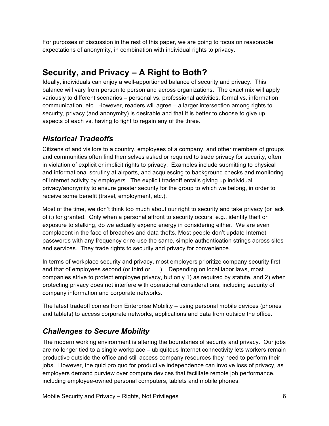For purposes of discussion in the rest of this paper, we are going to focus on reasonable expectations of anonymity, in combination with individual rights to privacy.

# **Security, and Privacy – A Right to Both?**

Ideally, individuals can enjoy a well-apportioned balance of security and privacy. This balance will vary from person to person and across organizations. The exact mix will apply variously to different scenarios – personal vs. professional activities, formal vs. information communication, etc. However, readers will agree – a larger intersection among rights to security, privacy (and anonymity) is desirable and that it is better to choose to give up aspects of each vs. having to fight to regain any of the three.

## *Historical Tradeoffs*

Citizens of and visitors to a country, employees of a company, and other members of groups and communities often find themselves asked or required to trade privacy for security, often in violation of explicit or implicit rights to privacy. Examples include submitting to physical and informational scrutiny at airports, and acquiescing to background checks and monitoring of Internet activity by employers. The explicit tradeoff entails giving up individual privacy/anonymity to ensure greater security for the group to which we belong, in order to receive some benefit (travel, employment, etc.).

Most of the time, we don't think too much about our right to security and take privacy (or lack of it) for granted. Only when a personal affront to security occurs, e.g., identity theft or exposure to stalking, do we actually expend energy in considering either. We are even complacent in the face of breaches and data thefts. Most people don't update Internet passwords with any frequency or re-use the same, simple authentication strings across sites and services. They trade rights to security and privacy for convenience.

In terms of workplace security and privacy, most employers prioritize company security first, and that of employees second (or third or . . .). Depending on local labor laws, most companies strive to protect employee privacy, but only 1) as required by statute, and 2) when protecting privacy does not interfere with operational considerations, including security of company information and corporate networks.

The latest tradeoff comes from Enterprise Mobility – using personal mobile devices (phones and tablets) to access corporate networks, applications and data from outside the office.

## *Challenges to Secure Mobility*

The modern working environment is altering the boundaries of security and privacy. Our jobs are no longer tied to a single workplace – ubiquitous Internet connectivity lets workers remain productive outside the office and still access company resources they need to perform their jobs. However, the quid pro quo for productive independence can involve loss of privacy, as employers demand purview over compute devices that facilitate remote job performance, including employee-owned personal computers, tablets and mobile phones.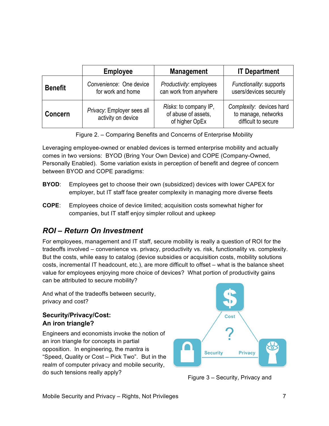|                | <b>Employee</b>                                  | <b>Management</b>                                              | <b>IT Department</b>                                                   |
|----------------|--------------------------------------------------|----------------------------------------------------------------|------------------------------------------------------------------------|
| <b>Benefit</b> | Convenience: One device<br>for work and home     | Productivity: employees<br>can work from anywhere              | Functionality: supports<br>users/devices securely                      |
| <b>Concern</b> | Privacy: Employer sees all<br>activity on device | Risks: to company IP,<br>of abuse of assets,<br>of higher OpEx | Complexity: devices hard<br>to manage, networks<br>difficult to secure |

| Figure 2. - Comparing Benefits and Concerns of Enterprise Mobility |  |
|--------------------------------------------------------------------|--|
|                                                                    |  |

Leveraging employee-owned or enabled devices is termed enterprise mobility and actually comes in two versions: BYOD (Bring Your Own Device) and COPE (Company-Owned, Personally Enabled). Some variation exists in perception of benefit and degree of concern between BYOD and COPE paradigms:

- **BYOD**: Employees get to choose their own (subsidized) devices with lower CAPEX for employer, but IT staff face greater complexity in managing more diverse fleets
- **COPE**: Employees choice of device limited; acquisition costs somewhat higher for companies, but IT staff enjoy simpler rollout and upkeep

## *ROI – Return On Investment*

For employees, management and IT staff, secure mobility is really a question of ROI for the tradeoffs involved – convenience vs. privacy, productivity vs. risk, functionality vs. complexity. But the costs, while easy to catalog (device subsidies or acquisition costs, mobility solutions costs, incremental IT headcount, etc.), are more difficult to offset – what is the balance sheet value for employees enjoying more choice of devices? What portion of productivity gains can be attributed to secure mobility?

And what of the tradeoffs between security, privacy and cost?

### **Security/Privacy/Cost: An iron triangle?**

Engineers and economists invoke the notion of an iron triangle for concepts in partial opposition. In engineering, the mantra is "Speed, Quality or Cost – Pick Two". But in the realm of computer privacy and mobile security, do such tensions really apply? Figure 3 – Security, Privacy and

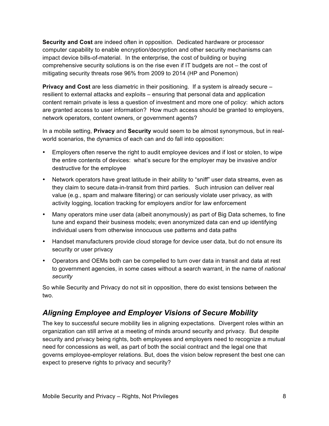**Security and Cost** are indeed often in opposition. Dedicated hardware or processor computer capability to enable encryption/decryption and other security mechanisms can impact device bills-of-material. In the enterprise, the cost of building or buying comprehensive security solutions is on the rise even if IT budgets are not – the cost of mitigating security threats rose 96% from 2009 to 2014 (HP and Ponemon)

**Privacy and Cost** are less diametric in their positioning. If a system is already secure – resilient to external attacks and exploits – ensuring that personal data and application content remain private is less a question of investment and more one of policy: which actors are granted access to user information? How much access should be granted to employers, network operators, content owners, or government agents?

In a mobile setting, **Privacy** and **Security** would seem to be almost synonymous, but in realworld scenarios, the dynamics of each can and do fall into opposition:

- Employers often reserve the right to audit employee devices and if lost or stolen, to wipe the entire contents of devices: what's secure for the employer may be invasive and/or destructive for the employee
- Network operators have great latitude in their ability to "sniff" user data streams, even as they claim to secure data-in-transit from third parties. Such intrusion can deliver real value (e.g., spam and malware filtering) or can seriously violate user privacy, as with activity logging, location tracking for employers and/or for law enforcement
- Many operators mine user data (albeit anonymously) as part of Big Data schemes, to fine tune and expand their business models; even anonymized data can end up identifying individual users from otherwise innocuous use patterns and data paths
- Handset manufacturers provide cloud storage for device user data, but do not ensure its security or user privacy
- Operators and OEMs both can be compelled to turn over data in transit and data at rest to government agencies, in some cases without a search warrant, in the name of *national security*

So while Security and Privacy do not sit in opposition, there do exist tensions between the two.

## *Aligning Employee and Employer Visions of Secure Mobility*

The key to successful secure mobility lies in aligning expectations. Divergent roles within an organization can still arrive at a meeting of minds around security and privacy. But despite security and privacy being rights, both employees and employers need to recognize a mutual need for concessions as well, as part of both the social contract and the legal one that governs employee-employer relations. But, does the vision below represent the best one can expect to preserve rights to privacy and security?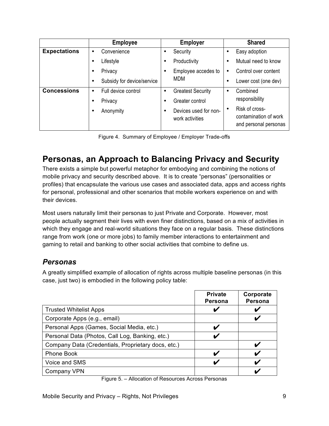|                     | <b>Employee</b>                 | <b>Employer</b>                                       | <b>Shared</b>                                                    |
|---------------------|---------------------------------|-------------------------------------------------------|------------------------------------------------------------------|
| <b>Expectations</b> | Convenience                     | Security<br>٠                                         | Easy adoption<br>٠                                               |
|                     | Lifestyle                       | Productivity<br>$\bullet$                             | Mutual need to know<br>٠                                         |
|                     | Privacy<br>٠                    | Employee accedes to<br>$\bullet$                      | Control over content<br>٠                                        |
|                     | Subsidy for device/service<br>٠ | <b>MDM</b>                                            | Lower cost (one dev)                                             |
| <b>Concessions</b>  | Full device control<br>٠        | <b>Greatest Security</b><br>٠                         | Combined<br>$\bullet$                                            |
|                     | Privacy                         | Greater control<br>$\epsilon$                         | responsibility                                                   |
|                     | Anonymity                       | Devices used for non-<br>$\bullet$<br>work activities | Risk of cross-<br>contamination of work<br>and personal personas |

Figure 4. Summary of Employee / Employer Trade-offs

## **Personas, an Approach to Balancing Privacy and Security**

There exists a simple but powerful metaphor for embodying and combining the notions of mobile privacy and security described above. It is to create "personas" (personalities or profiles) that encapsulate the various use cases and associated data, apps and access rights for personal, professional and other scenarios that mobile workers experience on and with their devices.

Most users naturally limit their personas to just Private and Corporate. However, most people actually segment their lives with even finer distinctions, based on a mix of activities in which they engage and real-world situations they face on a regular basis. These distinctions range from work (one or more jobs) to family member interactions to entertainment and gaming to retail and banking to other social activities that combine to define us.

## *Personas*

A greatly simplified example of allocation of rights across multiple baseline personas (in this case, just two) is embodied in the following policy table:

|                                                    | <b>Private</b><br>Persona | Corporate<br><b>Persona</b> |
|----------------------------------------------------|---------------------------|-----------------------------|
| <b>Trusted Whitelist Apps</b>                      |                           |                             |
| Corporate Apps (e.g., email)                       |                           |                             |
| Personal Apps (Games, Social Media, etc.)          |                           |                             |
| Personal Data (Photos, Call Log, Banking, etc.)    |                           |                             |
| Company Data (Credentials, Proprietary docs, etc.) |                           |                             |
| <b>Phone Book</b>                                  |                           |                             |
| Voice and SMS                                      |                           |                             |
| Company VPN                                        |                           |                             |

Figure 5. – Allocation of Resources Across Personas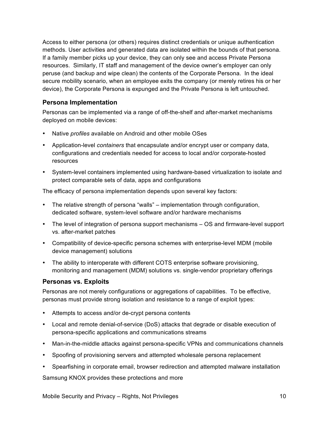Access to either persona (or others) requires distinct credentials or unique authentication methods. User activities and generated data are isolated within the bounds of that persona. If a family member picks up your device, they can only see and access Private Persona resources. Similarly, IT staff and management of the device owner's employer can only peruse (and backup and wipe clean) the contents of the Corporate Persona. In the ideal secure mobility scenario, when an employee exits the company (or merely retires his or her device), the Corporate Persona is expunged and the Private Persona is left untouched.

### **Persona Implementation**

Personas can be implemented via a range of off-the-shelf and after-market mechanisms deployed on mobile devices:

- Native *profiles* available on Android and other mobile OSes
- Application-level *containers* that encapsulate and/or encrypt user or company data, configurations and credentials needed for access to local and/or corporate-hosted resources
- System-level containers implemented using hardware-based virtualization to isolate and protect comparable sets of data, apps and configurations

The efficacy of persona implementation depends upon several key factors:

- The relative strength of persona "walls" implementation through configuration, dedicated software, system-level software and/or hardware mechanisms
- The level of integration of persona support mechanisms OS and firmware-level support vs. after-market patches
- Compatibility of device-specific persona schemes with enterprise-level MDM (mobile device management) solutions
- The ability to interoperate with different COTS enterprise software provisioning, monitoring and management (MDM) solutions vs. single-vendor proprietary offerings

### **Personas vs. Exploits**

Personas are not merely configurations or aggregations of capabilities. To be effective, personas must provide strong isolation and resistance to a range of exploit types:

- Attempts to access and/or de-crypt persona contents
- Local and remote denial-of-service (DoS) attacks that degrade or disable execution of persona-specific applications and communications streams
- Man-in-the-middle attacks against persona-specific VPNs and communications channels
- Spoofing of provisioning servers and attempted wholesale persona replacement
- Spearfishing in corporate email, browser redirection and attempted malware installation

Samsung KNOX provides these protections and more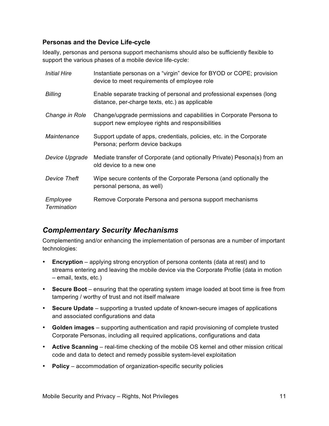#### **Personas and the Device Life-cycle**

Ideally, personas and persona support mechanisms should also be sufficiently flexible to support the various phases of a mobile device life-cycle:

| <i>Initial Hire</i>            | Instantiate personas on a "virgin" device for BYOD or COPE; provision<br>device to meet requirements of employee role   |
|--------------------------------|-------------------------------------------------------------------------------------------------------------------------|
| Billing                        | Enable separate tracking of personal and professional expenses (long<br>distance, per-charge texts, etc.) as applicable |
| Change in Role                 | Change/upgrade permissions and capabilities in Corporate Persona to<br>support new employee rights and responsibilities |
| Maintenance                    | Support update of apps, credentials, policies, etc. in the Corporate<br>Persona; perform device backups                 |
| Device Upgrade                 | Mediate transfer of Corporate (and optionally Private) Pesona(s) from an<br>old device to a new one                     |
| Device Theft                   | Wipe secure contents of the Corporate Persona (and optionally the<br>personal persona, as well)                         |
| Employee<br><b>Termination</b> | Remove Corporate Persona and persona support mechanisms                                                                 |

## *Complementary Security Mechanisms*

Complementing and/or enhancing the implementation of personas are a number of important technologies:

- **Encryption** applying strong encryption of persona contents (data at rest) and to streams entering and leaving the mobile device via the Corporate Profile (data in motion – email, texts, etc.)
- **Secure Boot** ensuring that the operating system image loaded at boot time is free from tampering / worthy of trust and not itself malware
- **Secure Update** supporting a trusted update of known-secure images of applications and associated configurations and data
- **Golden images** supporting authentication and rapid provisioning of complete trusted Corporate Personas, including all required applications, configurations and data
- **Active Scanning** real-time checking of the mobile OS kernel and other mission critical code and data to detect and remedy possible system-level exploitation
- **Policy** accommodation of organization-specific security policies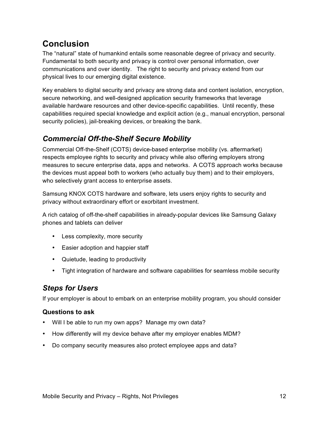# **Conclusion**

The "natural" state of humankind entails some reasonable degree of privacy and security. Fundamental to both security and privacy is control over personal information, over communications and over identity. The right to security and privacy extend from our physical lives to our emerging digital existence.

Key enablers to digital security and privacy are strong data and content isolation, encryption, secure networking, and well-designed application security frameworks that leverage available hardware resources and other device-specific capabilities. Until recently, these capabilities required special knowledge and explicit action (e.g., manual encryption, personal security policies), jail-breaking devices, or breaking the bank.

## *Commercial Off-the-Shelf Secure Mobility*

Commercial Off-the-Shelf (COTS) device-based enterprise mobility (vs. aftermarket) respects employee rights to security and privacy while also offering employers strong measures to secure enterprise data, apps and networks. A COTS approach works because the devices must appeal both to workers (who actually buy them) and to their employers, who selectively grant access to enterprise assets.

Samsung KNOX COTS hardware and software, lets users enjoy rights to security and privacy without extraordinary effort or exorbitant investment.

A rich catalog of off-the-shelf capabilities in already-popular devices like Samsung Galaxy phones and tablets can deliver

- Less complexity, more security
- Easier adoption and happier staff
- Quietude, leading to productivity
- Tight integration of hardware and software capabilities for seamless mobile security

## *Steps for Users*

If your employer is about to embark on an enterprise mobility program, you should consider

### **Questions to ask**

- Will I be able to run my own apps? Manage my own data?
- How differently will my device behave after my employer enables MDM?
- Do company security measures also protect employee apps and data?